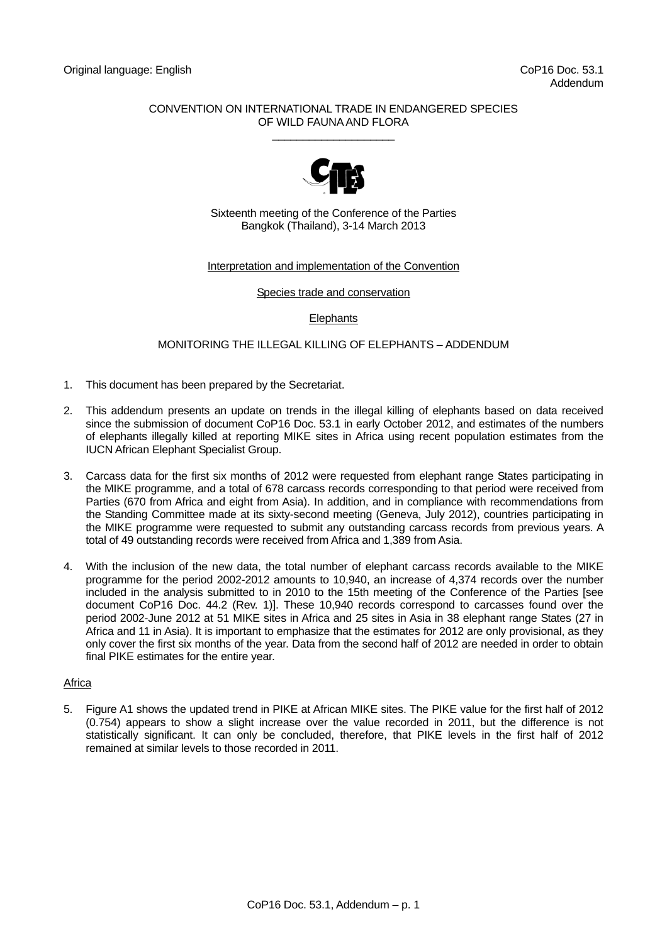## CONVENTION ON INTERNATIONAL TRADE IN ENDANGERED SPECIES OF WILD FAUNA AND FLORA  $\_$



Sixteenth meeting of the Conference of the Parties Bangkok (Thailand), 3-14 March 2013

## Interpretation and implementation of the Convention

Species trade and conservation

# **Elephants**

# MONITORING THE ILLEGAL KILLING OF ELEPHANTS – ADDENDUM

- 1. This document has been prepared by the Secretariat.
- 2. This addendum presents an update on trends in the illegal killing of elephants based on data received since the submission of document CoP16 Doc. 53.1 in early October 2012, and estimates of the numbers of elephants illegally killed at reporting MIKE sites in Africa using recent population estimates from the IUCN African Elephant Specialist Group.
- 3. Carcass data for the first six months of 2012 were requested from elephant range States participating in the MIKE programme, and a total of 678 carcass records corresponding to that period were received from Parties (670 from Africa and eight from Asia). In addition, and in compliance with recommendations from the Standing Committee made at its sixty-second meeting (Geneva, July 2012), countries participating in the MIKE programme were requested to submit any outstanding carcass records from previous years. A total of 49 outstanding records were received from Africa and 1,389 from Asia.
- 4. With the inclusion of the new data, the total number of elephant carcass records available to the MIKE programme for the period 2002-2012 amounts to 10,940, an increase of 4,374 records over the number included in the analysis submitted to in 2010 to the 15th meeting of the Conference of the Parties [see document CoP16 Doc. 44.2 (Rev. 1)]. These 10,940 records correspond to carcasses found over the period 2002-June 2012 at 51 MIKE sites in Africa and 25 sites in Asia in 38 elephant range States (27 in Africa and 11 in Asia). It is important to emphasize that the estimates for 2012 are only provisional, as they only cover the first six months of the year. Data from the second half of 2012 are needed in order to obtain final PIKE estimates for the entire year.

## Africa

5. Figure A1 shows the updated trend in PIKE at African MIKE sites. The PIKE value for the first half of 2012 (0.754) appears to show a slight increase over the value recorded in 2011, but the difference is not statistically significant. It can only be concluded, therefore, that PIKE levels in the first half of 2012 remained at similar levels to those recorded in 2011.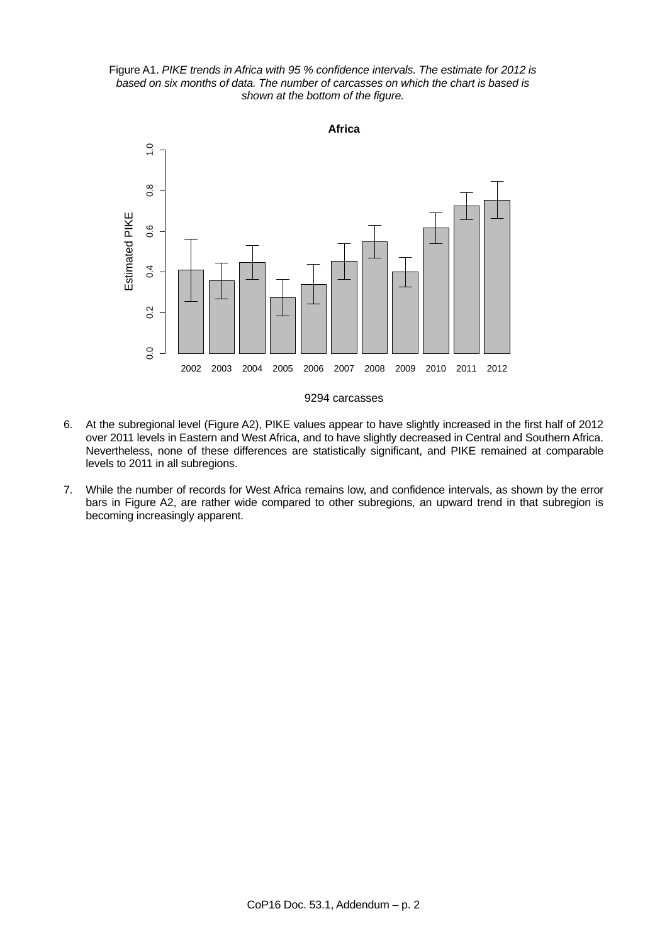Figure A1. *PIKE trends in Africa with 95 % confidence intervals. The estimate for 2012 is based on six months of data. The number of carcasses on which the chart is based is shown at the bottom of the figure.*



#### 9294 carcasses

- 6. At the subregional level (Figure A2), PIKE values appear to have slightly increased in the first half of 2012 over 2011 levels in Eastern and West Africa, and to have slightly decreased in Central and Southern Africa. Nevertheless, none of these differences are statistically significant, and PIKE remained at comparable levels to 2011 in all subregions.
- 7. While the number of records for West Africa remains low, and confidence intervals, as shown by the error bars in Figure A2, are rather wide compared to other subregions, an upward trend in that subregion is becoming increasingly apparent.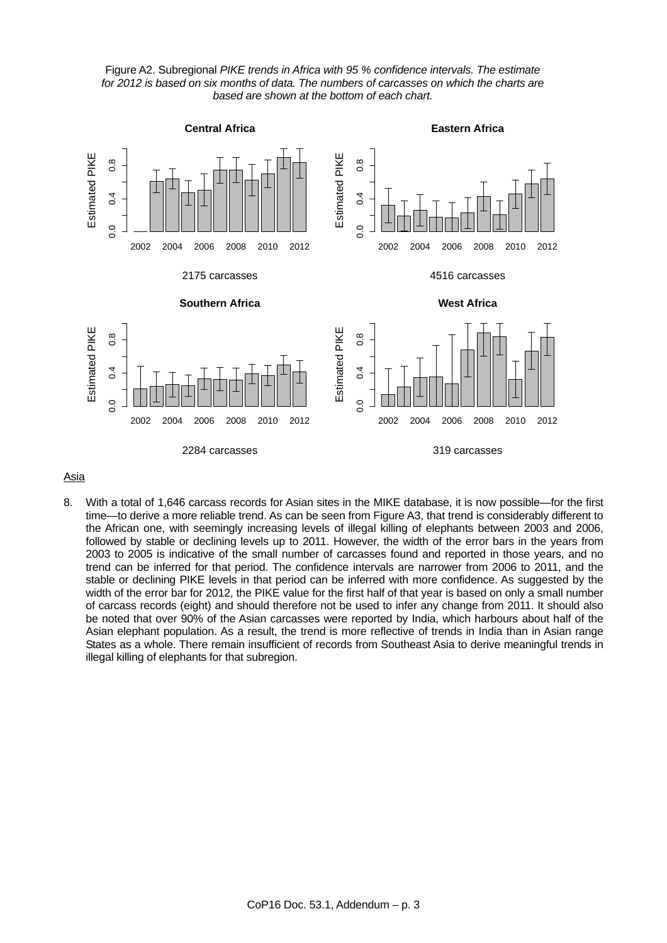



#### Asia

8. With a total of 1,646 carcass records for Asian sites in the MIKE database, it is now possible—for the first time—to derive a more reliable trend. As can be seen from Figure A3, that trend is considerably different to the African one, with seemingly increasing levels of illegal killing of elephants between 2003 and 2006, followed by stable or declining levels up to 2011. However, the width of the error bars in the years from 2003 to 2005 is indicative of the small number of carcasses found and reported in those years, and no trend can be inferred for that period. The confidence intervals are narrower from 2006 to 2011, and the stable or declining PIKE levels in that period can be inferred with more confidence. As suggested by the width of the error bar for 2012, the PIKE value for the first half of that year is based on only a small number of carcass records (eight) and should therefore not be used to infer any change from 2011. It should also be noted that over 90% of the Asian carcasses were reported by India, which harbours about half of the Asian elephant population. As a result, the trend is more reflective of trends in India than in Asian range States as a whole. There remain insufficient of records from Southeast Asia to derive meaningful trends in illegal killing of elephants for that subregion.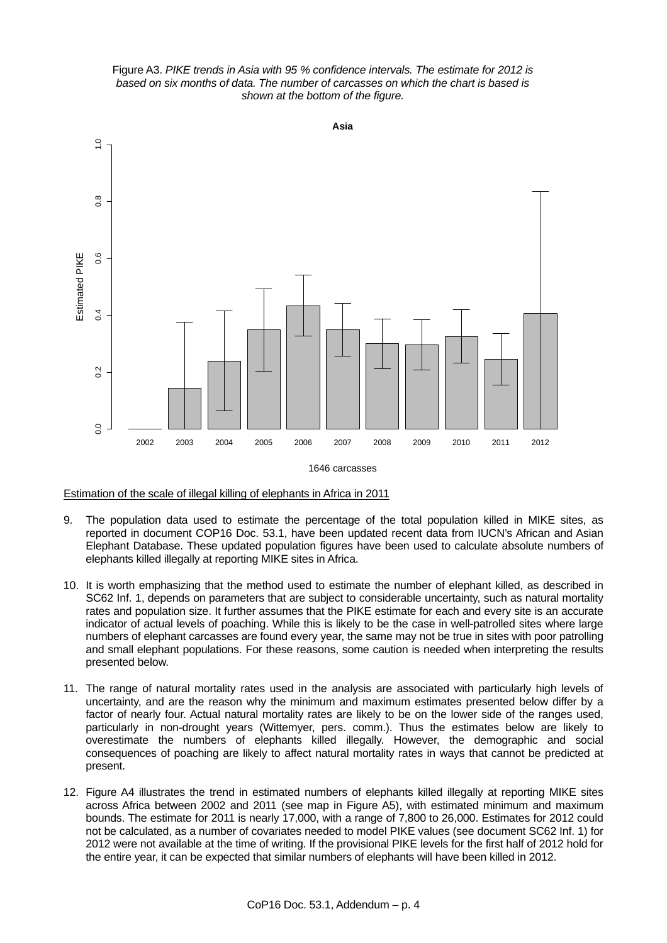Figure A3. *PIKE trends in Asia with 95 % confidence intervals. The estimate for 2012 is based on six months of data. The number of carcasses on which the chart is based is shown at the bottom of the figure.*



Estimation of the scale of illegal killing of elephants in Africa in 2011

- 9. The population data used to estimate the percentage of the total population killed in MIKE sites, as reported in document COP16 Doc. 53.1, have been updated recent data from IUCN's African and Asian Elephant Database. These updated population figures have been used to calculate absolute numbers of elephants killed illegally at reporting MIKE sites in Africa.
- 10. It is worth emphasizing that the method used to estimate the number of elephant killed, as described in SC62 Inf. 1, depends on parameters that are subject to considerable uncertainty, such as natural mortality rates and population size. It further assumes that the PIKE estimate for each and every site is an accurate indicator of actual levels of poaching. While this is likely to be the case in well-patrolled sites where large numbers of elephant carcasses are found every year, the same may not be true in sites with poor patrolling and small elephant populations. For these reasons, some caution is needed when interpreting the results presented below.
- 11. The range of natural mortality rates used in the analysis are associated with particularly high levels of uncertainty, and are the reason why the minimum and maximum estimates presented below differ by a factor of nearly four. Actual natural mortality rates are likely to be on the lower side of the ranges used, particularly in non-drought years (Wittemyer, pers. comm.). Thus the estimates below are likely to overestimate the numbers of elephants killed illegally. However, the demographic and social consequences of poaching are likely to affect natural mortality rates in ways that cannot be predicted at present.
- 12. Figure A4 illustrates the trend in estimated numbers of elephants killed illegally at reporting MIKE sites across Africa between 2002 and 2011 (see map in Figure A5), with estimated minimum and maximum bounds. The estimate for 2011 is nearly 17,000, with a range of 7,800 to 26,000. Estimates for 2012 could not be calculated, as a number of covariates needed to model PIKE values (see document SC62 Inf. 1) for 2012 were not available at the time of writing. If the provisional PIKE levels for the first half of 2012 hold for the entire year, it can be expected that similar numbers of elephants will have been killed in 2012.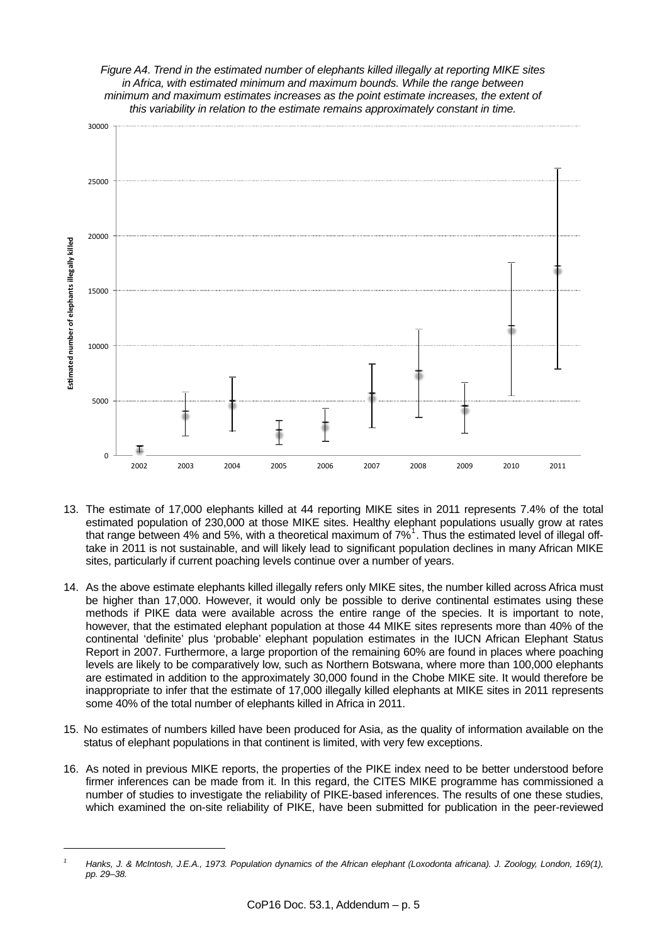

- 13. The estimate of 17,000 elephants killed at 44 reporting MIKE sites in 2011 represents 7.4% of the total estimated population of 230,000 at those MIKE sites. Healthy elephant populations usually grow at rates that range between 4% and 5%, with a theoretical maximum of 7%<sup>[1](#page-4-0)</sup>. Thus the estimated level of illegal offtake in 2011 is not sustainable, and will likely lead to significant population declines in many African MIKE sites, particularly if current poaching levels continue over a number of years.
- 14. As the above estimate elephants killed illegally refers only MIKE sites, the number killed across Africa must be higher than 17,000. However, it would only be possible to derive continental estimates using these methods if PIKE data were available across the entire range of the species. It is important to note, however, that the estimated elephant population at those 44 MIKE sites represents more than 40% of the continental 'definite' plus 'probable' elephant population estimates in the IUCN African Elephant Status Report in 2007. Furthermore, a large proportion of the remaining 60% are found in places where poaching levels are likely to be comparatively low, such as Northern Botswana, where more than 100,000 elephants are estimated in addition to the approximately 30,000 found in the Chobe MIKE site. It would therefore be inappropriate to infer that the estimate of 17,000 illegally killed elephants at MIKE sites in 2011 represents some 40% of the total number of elephants killed in Africa in 2011.
- 15. No estimates of numbers killed have been produced for Asia, as the quality of information available on the status of elephant populations in that continent is limited, with very few exceptions.
- 16. As noted in previous MIKE reports, the properties of the PIKE index need to be better understood before firmer inferences can be made from it. In this regard, the CITES MIKE programme has commissioned a number of studies to investigate the reliability of PIKE-based inferences. The results of one these studies, which examined the on-site reliability of PIKE, have been submitted for publication in the peer-reviewed

l

<span id="page-4-0"></span>*<sup>1</sup> Hanks, J. & McIntosh, J.E.A., 1973. Population dynamics of the African elephant (Loxodonta africana). J. Zoology, London, 169(1), pp. 29–38.*